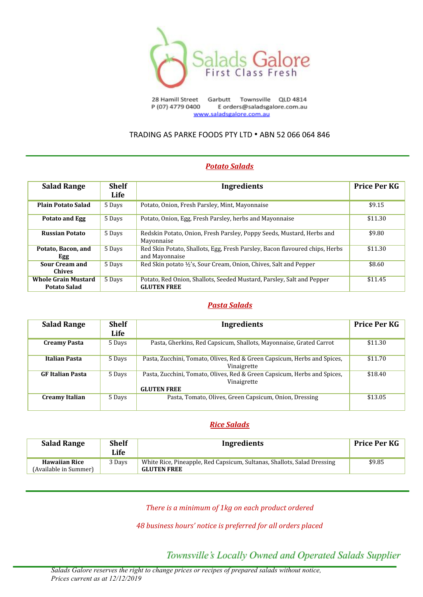

Townsville QLD 4814 28 Hamill Street Garbutt P (07) 4779 0400 E orders@saladsgalore.com.au www.saladsgalore.com.au

## TRADING AS PARKE FOODS PTY LTD • ABN 52 066 064 846

# *Potato Salads*

| <b>Salad Range</b>                                | <b>Shelf</b> | Ingredients                                                                                   | <b>Price Per KG</b> |
|---------------------------------------------------|--------------|-----------------------------------------------------------------------------------------------|---------------------|
|                                                   | Life         |                                                                                               |                     |
| <b>Plain Potato Salad</b>                         | 5 Days       | Potato, Onion, Fresh Parsley, Mint, Mayonnaise                                                | \$9.15              |
| Potato and Egg                                    | 5 Days       | Potato, Onion, Egg, Fresh Parsley, herbs and Mayonnaise                                       | \$11.30             |
| <b>Russian Potato</b>                             | 5 Days       | Redskin Potato, Onion, Fresh Parsley, Poppy Seeds, Mustard, Herbs and<br>Mayonnaise           | \$9.80              |
| Potato, Bacon, and<br><b>Egg</b>                  | 5 Days       | Red Skin Potato, Shallots, Egg, Fresh Parsley, Bacon flavoured chips, Herbs<br>and Mayonnaise | \$11.30             |
| <b>Sour Cream and</b><br><b>Chives</b>            | 5 Days       | Red Skin potato ½'s, Sour Cream, Onion, Chives, Salt and Pepper                               | \$8.60              |
| <b>Whole Grain Mustard</b><br><b>Potato Salad</b> | 5 Days       | Potato, Red Onion, Shallots, Seeded Mustard, Parsley, Salt and Pepper<br><b>GLUTEN FREE</b>   | \$11.45             |

#### *Pasta Salads*

| <b>Salad Range</b>      | <b>Shelf</b><br>Life | <b>Ingredients</b>                                                                                            | Price Per KG |
|-------------------------|----------------------|---------------------------------------------------------------------------------------------------------------|--------------|
| Creamy Pasta            | 5 Days               | Pasta, Gherkins, Red Capsicum, Shallots, Mayonnaise, Grated Carrot                                            | \$11.30      |
| Italian Pasta           | 5 Days               | Pasta, Zucchini, Tomato, Olives, Red & Green Capsicum, Herbs and Spices,<br>Vinaigrette                       | \$11.70      |
| <b>GF</b> Italian Pasta | 5 Days               | Pasta, Zucchini, Tomato, Olives, Red & Green Capsicum, Herbs and Spices,<br>Vinaigrette<br><b>GLUTEN FREE</b> | \$18.40      |
| <b>Creamy Italian</b>   | 5 Days               | Pasta, Tomato, Olives, Green Capsicum, Onion, Dressing                                                        | \$13.05      |

#### *Rice Salads*

| <b>Salad Range</b>                            | <b>Shelf</b><br>Life | Ingredients                                                                                   | <b>Price Per KG</b> |
|-----------------------------------------------|----------------------|-----------------------------------------------------------------------------------------------|---------------------|
| <b>Hawaiian Rice</b><br>(Available in Summer) | 3 Days               | White Rice, Pineapple, Red Capsicum, Sultanas, Shallots, Salad Dressing<br><b>GLUTEN FREE</b> | \$9.85              |

*There is a minimum of 1kg on each product ordered*

*48 business hours' notice is preferred for all orders placed*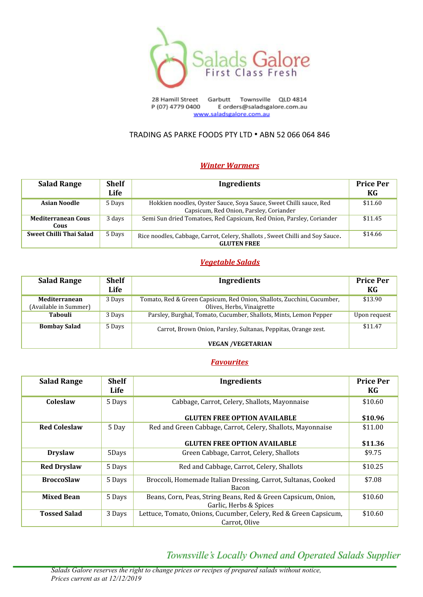

Garbutt Townsville QLD 4814 28 Hamill Street P (07) 4779 0400 E orders@saladsgalore.com.au www.saladsgalore.com.au

# TRADING AS PARKE FOODS PTY LTD • ABN 52 066 064 846

# *Winter Warmers*

| <b>Salad Range</b>                | <b>Shelf</b><br>Life | Ingredients                                                                                                   | <b>Price Per</b><br>KG |
|-----------------------------------|----------------------|---------------------------------------------------------------------------------------------------------------|------------------------|
| <b>Asian Noodle</b>               | 5 Days               | Hokkien noodles, Oyster Sauce, Soya Sauce, Sweet Chilli sauce, Red<br>Capsicum, Red Onion, Parsley, Coriander | \$11.60                |
| <b>Mediterranean Cous</b><br>Cous | 3 days               | Semi Sun dried Tomatoes, Red Capsicum, Red Onion, Parsley, Coriander                                          | \$11.45                |
| Sweet Chilli Thai Salad           | 5 Days               | Rice noodles, Cabbage, Carrot, Celery, Shallots, Sweet Chilli and Soy Sauce.<br><b>GLUTEN FREE</b>            | \$14.66                |

# *Vegetable Salads*

| <b>Salad Range</b>                     | <b>Shelf</b><br>Life | Ingredients                                                                                          | <b>Price Per</b><br>KG |
|----------------------------------------|----------------------|------------------------------------------------------------------------------------------------------|------------------------|
| Mediterranean<br>(Available in Summer) | 3 Days               | Tomato, Red & Green Capsicum, Red Onion, Shallots, Zucchini, Cucumber,<br>Olives, Herbs, Vinaigrette | \$13.90                |
| <b>Tabouli</b>                         | 3 Days               | Parsley, Burghal, Tomato, Cucumber, Shallots, Mints, Lemon Pepper                                    | Upon request           |
| <b>Bombay Salad</b>                    | 5 Days               | Carrot, Brown Onion, Parsley, Sultanas, Peppitas, Orange zest.                                       | \$11.47                |
|                                        |                      | <b>VEGAN /VEGETARIAN</b>                                                                             |                        |

#### *Favourites*

| <b>Salad Range</b>  | <b>Shelf</b><br>Life | <b>Ingredients</b>                                                                      | <b>Price Per</b><br>KG |
|---------------------|----------------------|-----------------------------------------------------------------------------------------|------------------------|
| Coleslaw            | 5 Days               | Cabbage, Carrot, Celery, Shallots, Mayonnaise                                           | \$10.60                |
|                     |                      | <b>GLUTEN FREE OPTION AVAILABLE</b>                                                     | \$10.96                |
| <b>Red Coleslaw</b> | 5 Day                | Red and Green Cabbage, Carrot, Celery, Shallots, Mayonnaise                             | \$11.00                |
|                     |                      | <b>GLUTEN FREE OPTION AVAILABLE</b>                                                     | \$11.36                |
| <b>Dryslaw</b>      | 5Days                | Green Cabbage, Carrot, Celery, Shallots                                                 | \$9.75                 |
| <b>Red Dryslaw</b>  | 5 Days               | Red and Cabbage, Carrot, Celery, Shallots                                               | \$10.25                |
| <b>BroccoSlaw</b>   | 5 Days               | Broccoli, Homemade Italian Dressing, Carrot, Sultanas, Cooked<br>Bacon                  | \$7.08                 |
| <b>Mixed Bean</b>   | 5 Days               | Beans, Corn, Peas, String Beans, Red & Green Capsicum, Onion,<br>Garlic, Herbs & Spices | \$10.60                |
| <b>Tossed Salad</b> | 3 Days               | Lettuce, Tomato, Onions, Cucumber, Celery, Red & Green Capsicum,<br>Carrot, Olive       | \$10.60                |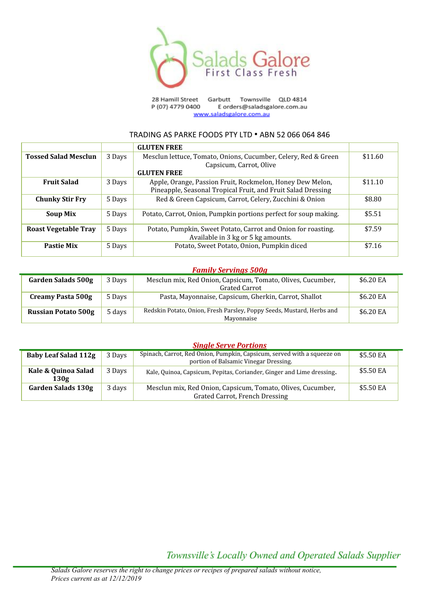

Garbutt Townsville QLD 4814 28 Hamill Street P (07) 4779 0400 E orders@saladsgalore.com.au www.saladsgalore.com.au

#### TRADING AS PARKE FOODS PTY LTD • ABN 52 066 064 846

|                             |        | <b>GLUTEN FREE</b>                                                                                                        |         |
|-----------------------------|--------|---------------------------------------------------------------------------------------------------------------------------|---------|
| <b>Tossed Salad Mesclun</b> | 3 Days | Mesclun lettuce, Tomato, Onions, Cucumber, Celery, Red & Green                                                            | \$11.60 |
|                             |        | Capsicum, Carrot, Olive                                                                                                   |         |
|                             |        | <b>GLUTEN FREE</b>                                                                                                        |         |
| <b>Fruit Salad</b>          | 3 Days | Apple, Orange, Passion Fruit, Rockmelon, Honey Dew Melon,<br>Pineapple, Seasonal Tropical Fruit, and Fruit Salad Dressing | \$11.10 |
| <b>Chunky Stir Fry</b>      | 5 Days | Red & Green Capsicum, Carrot, Celery, Zucchini & Onion                                                                    | \$8.80  |
| <b>Soup Mix</b>             | 5 Days | Potato, Carrot, Onion, Pumpkin portions perfect for soup making.                                                          | \$5.51  |
| <b>Roast Vegetable Tray</b> | 5 Days | Potato, Pumpkin, Sweet Potato, Carrot and Onion for roasting.<br>Available in 3 kg or 5 kg amounts.                       | \$7.59  |
| <b>Pastie Mix</b>           | 5 Days | Potato, Sweet Potato, Onion, Pumpkin diced                                                                                | \$7.16  |

#### *Family Servings 500g*

| <b>Garden Salads 500g</b>  | 3 Days | Mesclun mix, Red Onion, Capsicum, Tomato, Olives, Cucumber,<br>Grated Carrot        | \$6.20 EA |
|----------------------------|--------|-------------------------------------------------------------------------------------|-----------|
| Creamy Pasta 500g          | 5 Days | Pasta, Mayonnaise, Capsicum, Gherkin, Carrot, Shallot                               | \$6.20 EA |
| <b>Russian Potato 500g</b> | 5 days | Redskin Potato, Onion, Fresh Parsley, Poppy Seeds, Mustard, Herbs and<br>Mayonnaise | \$6.20 EA |

#### *Single Serve Portions*

| <b>Baby Leaf Salad 112g</b> | 3 Days | Spinach, Carrot, Red Onion, Pumpkin, Capsicum, served with a squeeze on<br>portion of Balsamic Vinegar Dressing. | \$5.50 EA |
|-----------------------------|--------|------------------------------------------------------------------------------------------------------------------|-----------|
| Kale & Quinoa Salad<br>130g | 3 Days | Kale, Quinoa, Capsicum, Pepitas, Coriander, Ginger and Lime dressing.                                            | \$5.50 EA |
| <b>Garden Salads 130g</b>   | 3 days | Mesclun mix, Red Onion, Capsicum, Tomato, Olives, Cucumber,<br>Grated Carrot, French Dressing                    | \$5.50 EA |